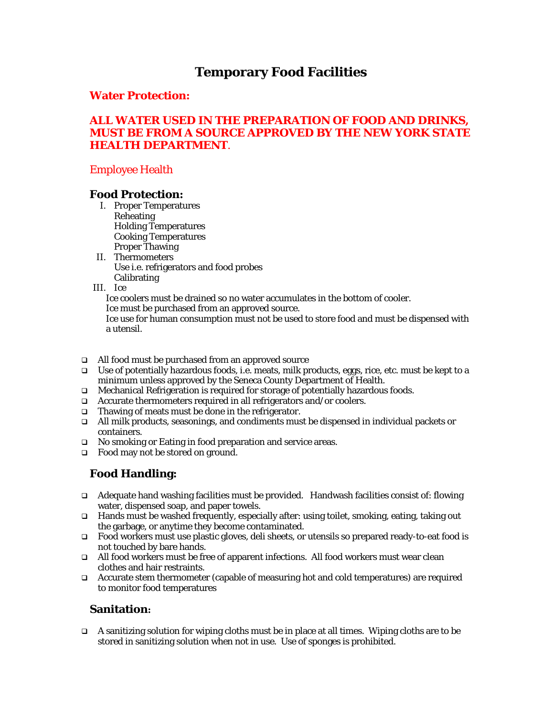# **Temporary Food Facilities**

### **Water Protection:**

### **ALL WATER USED IN THE PREPARATION OF FOOD AND DRINKS, MUST BE FROM A SOURCE APPROVED BY THE NEW YORK STATE HEALTH DEPARTMENT**.

# Employee Health

### **Food Protection:**

- I. Proper Temperatures Reheating Holding Temperatures Cooking Temperatures Proper Thawing
- II. Thermometers Use i.e. refrigerators and food probes **Calibrating**
- III. Ice

Ice coolers must be drained so no water accumulates in the bottom of cooler.

Ice must be purchased from an approved source.

Ice use for human consumption must not be used to store food and must be dispensed with a utensil.

- All food must be purchased from an approved source
- □ Use of potentially hazardous foods, i.e. meats, milk products, eggs, rice, etc. must be kept to a minimum unless approved by the Seneca County Department of Health.
- $\Box$  Mechanical Refrigeration is required for storage of potentially hazardous foods.
- □ Accurate thermometers required in all refrigerators and/or coolers.
- $\Box$  Thawing of meats must be done in the refrigerator.
- All milk products, seasonings, and condiments must be dispensed in individual packets or containers.
- □ No smoking or Eating in food preparation and service areas.
- □ Food may not be stored on ground.

# **Food Handling:**

- Adequate hand washing facilities must be provided. Handwash facilities consist of: flowing water, dispensed soap, and paper towels.
- Hands must be washed frequently, especially after: using toilet, smoking, eating, taking out the garbage, or anytime they become contaminated.
- Food workers must use plastic gloves, deli sheets, or utensils so prepared ready-to-eat food is not touched by bare hands.
- $\Box$  All food workers must be free of apparent infections. All food workers must wear clean clothes and hair restraints.
- $\Box$  Accurate stem thermometer (capable of measuring hot and cold temperatures) are required to monitor food temperatures

# **Sanitation:**

A sanitizing solution for wiping cloths must be in place at all times. Wiping cloths are to be stored in sanitizing solution when not in use. Use of sponges is prohibited.